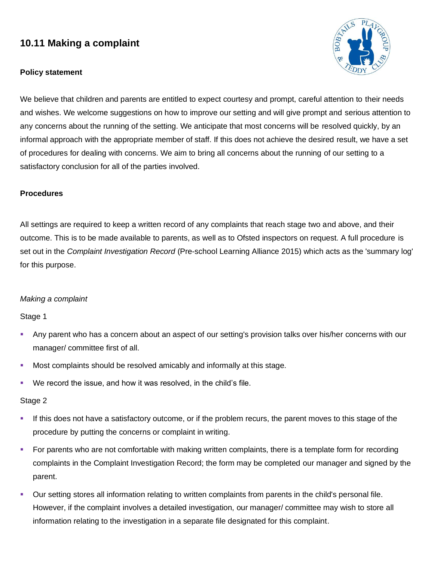# **10.11 Making a complaint**

# **Policy statement**



We believe that children and parents are entitled to expect courtesy and prompt, careful attention to their needs and wishes. We welcome suggestions on how to improve our setting and will give prompt and serious attention to any concerns about the running of the setting. We anticipate that most concerns will be resolved quickly, by an informal approach with the appropriate member of staff. If this does not achieve the desired result, we have a set of procedures for dealing with concerns. We aim to bring all concerns about the running of our setting to a satisfactory conclusion for all of the parties involved.

# **Procedures**

All settings are required to keep a written record of any complaints that reach stage two and above, and their outcome. This is to be made available to parents, as well as to Ofsted inspectors on request. A full procedure is set out in the *Complaint Investigation Record* (Pre-school Learning Alliance 2015) which acts as the 'summary log' for this purpose.

# *Making a complaint*

#### Stage 1

- Any parent who has a concern about an aspect of our setting's provision talks over his/her concerns with our manager/ committee first of all.
- Most complaints should be resolved amicably and informally at this stage.
- We record the issue, and how it was resolved, in the child's file.

#### Stage 2

- **.** If this does not have a satisfactory outcome, or if the problem recurs, the parent moves to this stage of the procedure by putting the concerns or complaint in writing.
- For parents who are not comfortable with making written complaints, there is a template form for recording complaints in the Complaint Investigation Record; the form may be completed our manager and signed by the parent.
- Our setting stores all information relating to written complaints from parents in the child's personal file. However, if the complaint involves a detailed investigation, our manager/ committee may wish to store all information relating to the investigation in a separate file designated for this complaint.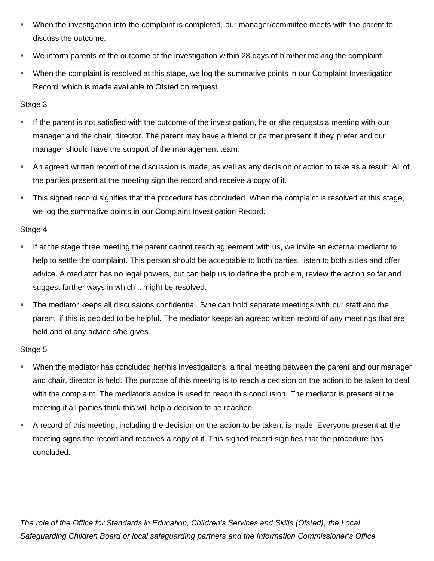- When the investigation into the complaint is completed, our manager/committee meets with the parent to discuss the outcome.
- We inform parents of the outcome of the investigation within 28 days of him/her making the complaint.
- When the complaint is resolved at this stage, we log the summative points in our Complaint Investigation Record, which is made available to Ofsted on request.

# Stage 3

- If the parent is not satisfied with the outcome of the investigation, he or she requests a meeting with our manager and the chair, director. The parent may have a friend or partner present if they prefer and our manager should have the support of the management team.
- An agreed written record of the discussion is made, as well as any decision or action to take as a result. All of the parties present at the meeting sign the record and receive a copy of it.
- **This signed record signifies that the procedure has concluded. When the complaint is resolved at this stage,** we log the summative points in our Complaint Investigation Record.

# Stage 4

- **.** If at the stage three meeting the parent cannot reach agreement with us, we invite an external mediator to help to settle the complaint. This person should be acceptable to both parties, listen to both sides and offer advice. A mediator has no legal powers, but can help us to define the problem, review the action so far and suggest further ways in which it might be resolved.
- **•** The mediator keeps all discussions confidential. S/he can hold separate meetings with our staff and the parent, if this is decided to be helpful. The mediator keeps an agreed written record of any meetings that are held and of any advice s/he gives.

# Stage 5

- When the mediator has concluded her/his investigations, a final meeting between the parent and our manager and chair, director is held. The purpose of this meeting is to reach a decision on the action to be taken to deal with the complaint. The mediator's advice is used to reach this conclusion. The mediator is present at the meeting if all parties think this will help a decision to be reached.
- A record of this meeting, including the decision on the action to be taken, is made. Everyone present at the meeting signs the record and receives a copy of it. This signed record signifies that the procedure has concluded.

*The role of the Office for Standards in Education, Children's Services and Skills (Ofsted), the Local Safeguarding Children Board or local safeguarding partners and the Information Commissioner's Office*